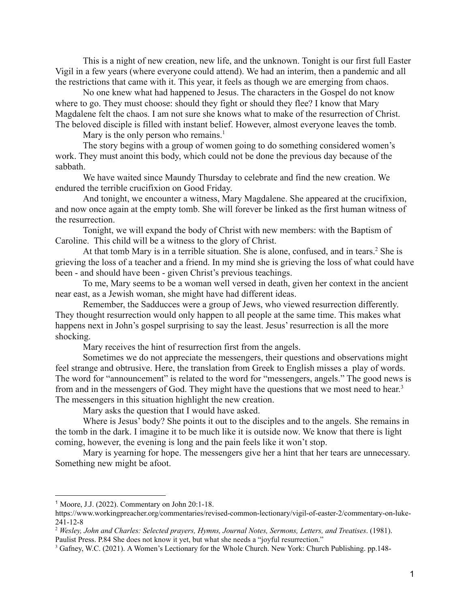This is a night of new creation, new life, and the unknown. Tonight is our first full Easter Vigil in a few years (where everyone could attend). We had an interim, then a pandemic and all the restrictions that came with it. This year, it feels as though we are emerging from chaos.

No one knew what had happened to Jesus. The characters in the Gospel do not know where to go. They must choose: should they fight or should they flee? I know that Mary Magdalene felt the chaos. I am not sure she knows what to make of the resurrection of Christ. The beloved disciple is filled with instant belief. However, almost everyone leaves the tomb.

Mary is the only person who remains.<sup>1</sup>

The story begins with a group of women going to do something considered women's work. They must anoint this body, which could not be done the previous day because of the sabbath.

We have waited since Maundy Thursday to celebrate and find the new creation. We endured the terrible crucifixion on Good Friday.

And tonight, we encounter a witness, Mary Magdalene. She appeared at the crucifixion, and now once again at the empty tomb. She will forever be linked as the first human witness of the resurrection.

Tonight, we will expand the body of Christ with new members: with the Baptism of Caroline. This child will be a witness to the glory of Christ.

At that tomb Mary is in a terrible situation. She is alone, confused, and in tears.<sup>2</sup> She is grieving the loss of a teacher and a friend. In my mind she is grieving the loss of what could have been - and should have been - given Christ's previous teachings.

To me, Mary seems to be a woman well versed in death, given her context in the ancient near east, as a Jewish woman, she might have had different ideas.

Remember, the Sadducces were a group of Jews, who viewed resurrection differently. They thought resurrection would only happen to all people at the same time. This makes what happens next in John's gospel surprising to say the least. Jesus' resurrection is all the more shocking.

Mary receives the hint of resurrection first from the angels.

Sometimes we do not appreciate the messengers, their questions and observations might feel strange and obtrusive. Here, the translation from Greek to English misses a play of words. The word for "announcement" is related to the word for "messengers, angels." The good news is from and in the messengers of God. They might have the questions that we most need to hear.<sup>3</sup> The messengers in this situation highlight the new creation.

Mary asks the question that I would have asked.

Where is Jesus' body? She points it out to the disciples and to the angels. She remains in the tomb in the dark. I imagine it to be much like it is outside now. We know that there is light coming, however, the evening is long and the pain feels like it won't stop.

Mary is yearning for hope. The messengers give her a hint that her tears are unnecessary. Something new might be afoot.

 $1$  Moore, J.J. (2022). Commentary on John 20:1-18.

https://www.workingpreacher.org/commentaries/revised-common-lectionary/vigil-of-easter-2/commentary-on-luke-241-12-8

<sup>2</sup> *Wesley, John and Charles: Selected prayers, Hymns, Journal Notes, Sermons, Letters, and Treatises*. (1981). Paulist Press. P.84 She does not know it yet, but what she needs a "joyful resurrection."

<sup>3</sup> Gafney, W.C. (2021). A Women's Lectionary for the Whole Church. New York: Church Publishing. pp.148-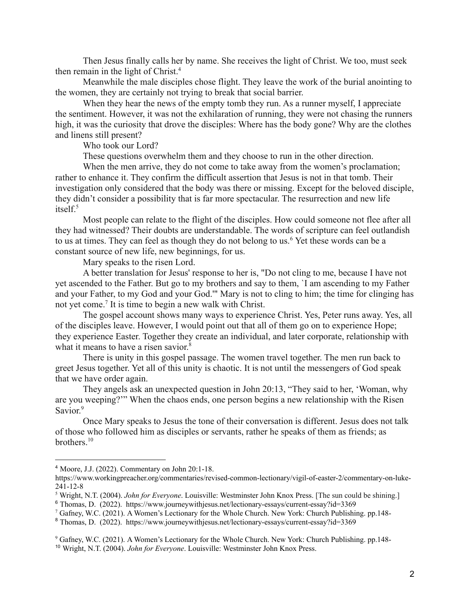Then Jesus finally calls her by name. She receives the light of Christ. We too, must seek then remain in the light of Christ.<sup>4</sup>

Meanwhile the male disciples chose flight. They leave the work of the burial anointing to the women, they are certainly not trying to break that social barrier.

When they hear the news of the empty tomb they run. As a runner myself, I appreciate the sentiment. However, it was not the exhilaration of running, they were not chasing the runners high, it was the curiosity that drove the disciples: Where has the body gone? Why are the clothes and linens still present?

Who took our Lord?

These questions overwhelm them and they choose to run in the other direction.

When the men arrive, they do not come to take away from the women's proclamation; rather to enhance it. They confirm the difficult assertion that Jesus is not in that tomb. Their investigation only considered that the body was there or missing. Except for the beloved disciple, they didn't consider a possibility that is far more spectacular. The resurrection and new life itself.<sup>5</sup>

Most people can relate to the flight of the disciples. How could someone not flee after all they had witnessed? Their doubts are understandable. The words of scripture can feel outlandish to us at times. They can feel as though they do not belong to us.<sup>6</sup> Yet these words can be a constant source of new life, new beginnings, for us.

Mary speaks to the risen Lord.

A better translation for Jesus' response to her is, "Do not cling to me, because I have not yet ascended to the Father. But go to my brothers and say to them, `I am ascending to my Father and your Father, to my God and your God.'" Mary is not to cling to him; the time for clinging has not yet come.<sup>7</sup> It is time to begin a new walk with Christ.

The gospel account shows many ways to experience Christ. Yes, Peter runs away. Yes, all of the disciples leave. However, I would point out that all of them go on to experience Hope; they experience Easter. Together they create an individual, and later corporate, relationship with what it means to have a risen savior.<sup>8</sup>

There is unity in this gospel passage. The women travel together. The men run back to greet Jesus together. Yet all of this unity is chaotic. It is not until the messengers of God speak that we have order again.

They angels ask an unexpected question in John 20:13, "They said to her, 'Woman, why are you weeping?'" When the chaos ends, one person begins a new relationship with the Risen Savior.<sup>9</sup>

Once Mary speaks to Jesus the tone of their conversation is different. Jesus does not talk of those who followed him as disciples or servants, rather he speaks of them as friends; as brothers.<sup>10</sup>

<sup>4</sup> Moore, J.J. (2022). Commentary on John 20:1-18.

https://www.workingpreacher.org/commentaries/revised-common-lectionary/vigil-of-easter-2/commentary-on-luke-241-12-8

<sup>6</sup> Thomas, D. (2022). https://www.journeywithjesus.net/lectionary-essays/current-essay?id=3369 <sup>5</sup> Wright, N.T. (2004). *John for Everyone*. Louisville: Westminster John Knox Press. [The sun could be shining.]

<sup>7</sup> Gafney, W.C. (2021). A Women's Lectionary for the Whole Church. New York: Church Publishing. pp.148-

<sup>8</sup> Thomas, D. (2022). https://www.journeywithjesus.net/lectionary-essays/current-essay?id=3369

<sup>10</sup> Wright, N.T. (2004). *John for Everyone*. Louisville: Westminster John Knox Press. <sup>9</sup> Gafney, W.C. (2021). A Women's Lectionary for the Whole Church. New York: Church Publishing. pp.148-